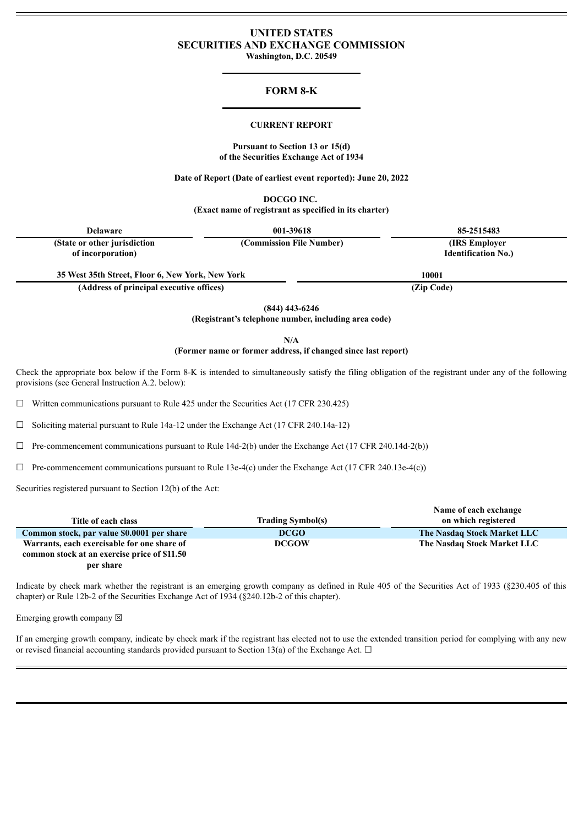# **UNITED STATES SECURITIES AND EXCHANGE COMMISSION**

**Washington, D.C. 20549**

### **FORM 8-K**

#### **CURRENT REPORT**

#### **Pursuant to Section 13 or 15(d) of the Securities Exchange Act of 1934**

**Date of Report (Date of earliest event reported): June 20, 2022**

**DOCGO INC.**

**(Exact name of registrant as specified in its charter)**

| <b>Delaware</b>                                  | 001-39618                | 85-2515483                 |  |
|--------------------------------------------------|--------------------------|----------------------------|--|
| (State or other jurisdiction)                    | (Commission File Number) | (IRS Employer)             |  |
| of incorporation)                                |                          | <b>Identification No.)</b> |  |
| 35 West 35th Street, Floor 6, New York, New York |                          | 10001                      |  |
| (Address of principal executive offices)         |                          | (Zip Code)                 |  |

**(844) 443-6246**

**(Registrant's telephone number, including area code)**

**N/A**

#### **(Former name or former address, if changed since last report)**

Check the appropriate box below if the Form 8-K is intended to simultaneously satisfy the filing obligation of the registrant under any of the following provisions (see General Instruction A.2. below):

 $\Box$  Written communications pursuant to Rule 425 under the Securities Act (17 CFR 230.425)

☐ Soliciting material pursuant to Rule 14a-12 under the Exchange Act (17 CFR 240.14a-12)

 $\Box$  Pre-commencement communications pursuant to Rule 14d-2(b) under the Exchange Act (17 CFR 240.14d-2(b))

 $\Box$  Pre-commencement communications pursuant to Rule 13e-4(c) under the Exchange Act (17 CFR 240.13e-4(c))

Securities registered pursuant to Section 12(b) of the Act:

|                                              |                          | Name of each exchange       |
|----------------------------------------------|--------------------------|-----------------------------|
| Title of each class                          | <b>Trading Symbol(s)</b> | on which registered         |
| Common stock, par value \$0.0001 per share   | <b>DCGO</b>              | The Nasdaq Stock Market LLC |
| Warrants, each exercisable for one share of  | <b>DCGOW</b>             | The Nasdaq Stock Market LLC |
| common stock at an exercise price of \$11.50 |                          |                             |

**per share**

Indicate by check mark whether the registrant is an emerging growth company as defined in Rule 405 of the Securities Act of 1933 (§230.405 of this chapter) or Rule 12b-2 of the Securities Exchange Act of 1934 (§240.12b-2 of this chapter).

Emerging growth company  $\boxtimes$ 

If an emerging growth company, indicate by check mark if the registrant has elected not to use the extended transition period for complying with any new or revised financial accounting standards provided pursuant to Section 13(a) of the Exchange Act.  $\Box$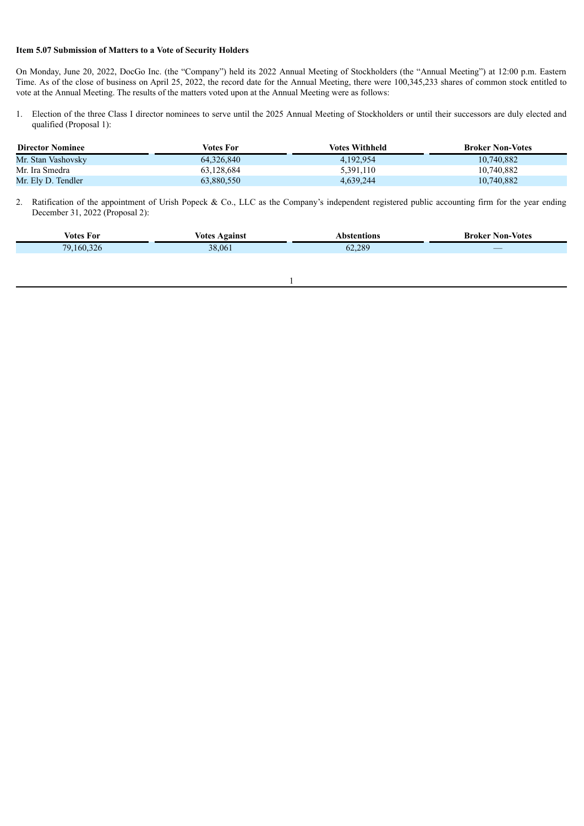#### **Item 5.07 Submission of Matters to a Vote of Security Holders**

On Monday, June 20, 2022, DocGo Inc. (the "Company") held its 2022 Annual Meeting of Stockholders (the "Annual Meeting") at 12:00 p.m. Eastern Time. As of the close of business on April 25, 2022, the record date for the Annual Meeting, there were 100,345,233 shares of common stock entitled to vote at the Annual Meeting. The results of the matters voted upon at the Annual Meeting were as follows:

1. Election of the three Class I director nominees to serve until the 2025 Annual Meeting of Stockholders or until their successors are duly elected and qualified (Proposal 1):

| <b>Director Nominee</b> | Votes For  | <b>Votes Withheld</b> | <b>Broker Non-Votes</b> |
|-------------------------|------------|-----------------------|-------------------------|
| Mr. Stan Vashovsky      | 64,326,840 | 4.192.954             | 10.740.882              |
| Mr. Ira Smedra          | 63.128.684 | 5,391,110             | 10,740,882              |
| Mr. Ely D. Tendler      | 63,880,550 | 4.639.244             | 10,740,882              |

2. Ratification of the appointment of Urish Popeck & Co., LLC as the Company's independent registered public accounting firm for the year ending December 31, 2022 (Proposal 2):

| Votes For           | <b>Votes</b><br>\ 0'91MS1 | tions         | Broker<br>Non-<br>-Votes |
|---------------------|---------------------------|---------------|--------------------------|
| $70^{\circ}$<br>160 | nΩ<br>06<br>$\sim$        | 289<br>$\sim$ |                          |

1